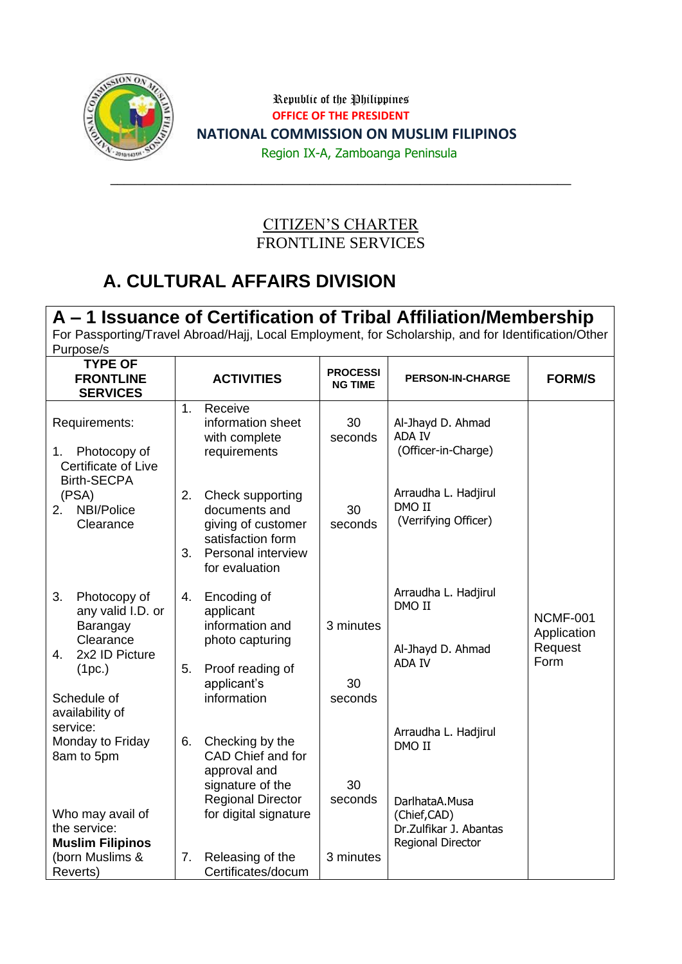

Republic of the Philippines **OFFICE OF THE PRESIDENT NATIONAL COMMISSION ON MUSLIM FILIPINOS**

Region IX-A, Zamboanga Peninsula

#### CITIZEN'S CHARTER FRONTLINE SERVICES

 $\_$  , and the set of the set of the set of the set of the set of the set of the set of the set of the set of the set of the set of the set of the set of the set of the set of the set of the set of the set of the set of th

### **A. CULTURAL AFFAIRS DIVISION**

#### **A – 1 Issuance of Certification of Tribal Affiliation/Membership**

For Passporting/Travel Abroad/Hajj, Local Employment, for Scholarship, and for Identification/Other Purpose/s

| <b>TYPE OF</b><br><b>FRONTLINE</b><br><b>SERVICES</b>                                                                                |          | <b>ACTIVITIES</b>                                                                                                    | <b>PROCESSI</b><br><b>NG TIME</b> | <b>PERSON-IN-CHARGE</b>                                       | <b>FORM/S</b>                                     |
|--------------------------------------------------------------------------------------------------------------------------------------|----------|----------------------------------------------------------------------------------------------------------------------|-----------------------------------|---------------------------------------------------------------|---------------------------------------------------|
| Requirements:<br>Photocopy of<br>1.<br>Certificate of Live<br><b>Birth-SECPA</b>                                                     | 1.       | Receive<br>information sheet<br>with complete<br>requirements                                                        | 30<br>seconds                     | Al-Jhayd D. Ahmad<br><b>ADA IV</b><br>(Officer-in-Charge)     |                                                   |
| (PSA)<br>NBI/Police<br>2.<br>Clearance                                                                                               | 2.<br>3. | Check supporting<br>documents and<br>giving of customer<br>satisfaction form<br>Personal interview<br>for evaluation | 30<br>seconds                     | Arraudha L. Hadjirul<br>DMO II<br>(Verrifying Officer)        |                                                   |
| 3.<br>Photocopy of<br>any valid I.D. or<br>Barangay<br>Clearance<br>2x2 ID Picture<br>4.<br>(1pc.)<br>Schedule of<br>availability of | 4.<br>5. | Encoding of<br>applicant<br>information and<br>photo capturing<br>Proof reading of<br>applicant's<br>information     | 3 minutes<br>30<br>seconds        | Arraudha L. Hadjirul<br>DMO II<br>Al-Jhayd D. Ahmad<br>ADA IV | <b>NCMF-001</b><br>Application<br>Request<br>Form |
| service:<br>Monday to Friday<br>8am to 5pm                                                                                           | 6.       | Checking by the<br>CAD Chief and for<br>approval and<br>signature of the<br><b>Regional Director</b>                 | 30<br>seconds                     | Arraudha L. Hadjirul<br>DMO II<br>DarlhataA.Musa              |                                                   |
| Who may avail of<br>the service:<br><b>Muslim Filipinos</b><br>(born Muslims &<br>Reverts)                                           | 7.       | for digital signature<br>Releasing of the<br>Certificates/docum                                                      | 3 minutes                         | (Chief,CAD)<br>Dr.Zulfikar J. Abantas<br>Regional Director    |                                                   |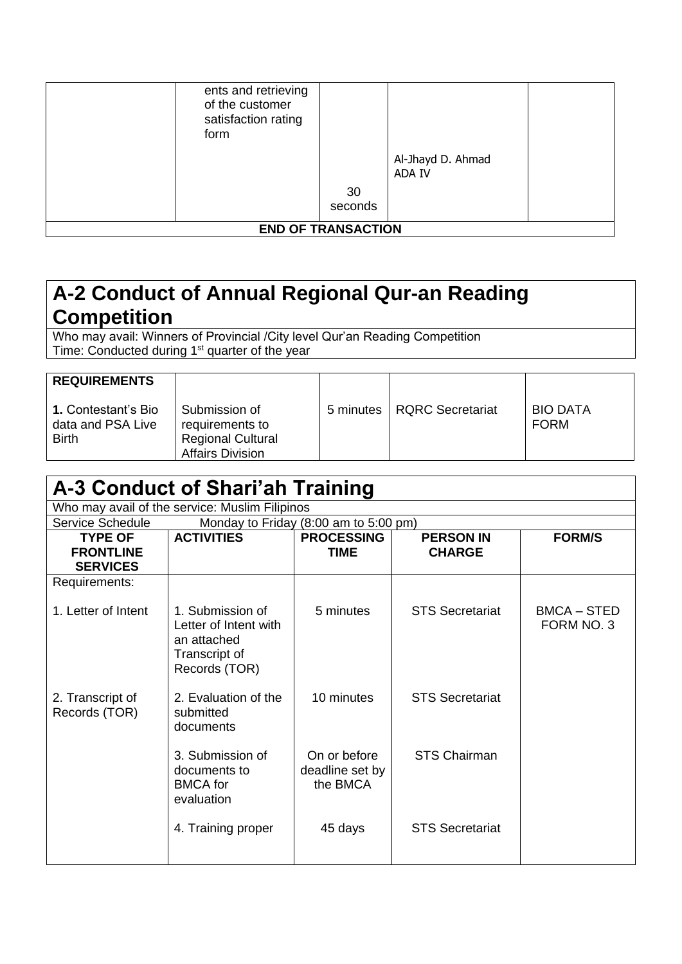| ents and retrieving<br>of the customer<br>satisfaction rating<br>form | 30<br>seconds             | Al-Jhayd D. Ahmad<br><b>ADA IV</b> |  |
|-----------------------------------------------------------------------|---------------------------|------------------------------------|--|
|                                                                       | <b>END OF TRANSACTION</b> |                                    |  |

### **A-2 Conduct of Annual Regional Qur-an Reading Competition**

Who may avail: Winners of Provincial /City level Qur'an Reading Competition Time: Conducted during 1<sup>st</sup> quarter of the year

| <b>REQUIREMENTS</b>                                             |                                                                                         |           |                  |                                |
|-----------------------------------------------------------------|-----------------------------------------------------------------------------------------|-----------|------------------|--------------------------------|
| <b>1.</b> Contestant's Bio<br>data and PSA Live<br><b>Birth</b> | Submission of<br>requirements to<br><b>Regional Cultural</b><br><b>Affairs Division</b> | 5 minutes | RQRC Secretariat | <b>BIO DATA</b><br><b>FORM</b> |

### **A-3 Conduct of Shari'ah Training**

Who may avail of the service: Muslim Filipinos

| <u>VIIIU IIIAY AVAII UI LIIE SEIVICE. IVIUSIIIII I IIIPIIIUS</u> |                                                                                            |                                             |                                   |                                  |  |  |
|------------------------------------------------------------------|--------------------------------------------------------------------------------------------|---------------------------------------------|-----------------------------------|----------------------------------|--|--|
| <b>Service Schedule</b>                                          |                                                                                            | Monday to Friday (8:00 am to 5:00 pm)       |                                   |                                  |  |  |
| <b>TYPE OF</b><br><b>FRONTLINE</b><br><b>SERVICES</b>            | <b>ACTIVITIES</b>                                                                          | <b>PROCESSING</b><br><b>TIME</b>            | <b>PERSON IN</b><br><b>CHARGE</b> | <b>FORM/S</b>                    |  |  |
| Requirements:                                                    |                                                                                            |                                             |                                   |                                  |  |  |
| 1. Letter of Intent                                              | 1. Submission of<br>Letter of Intent with<br>an attached<br>Transcript of<br>Records (TOR) | 5 minutes                                   | <b>STS Secretariat</b>            | <b>BMCA – STED</b><br>FORM NO. 3 |  |  |
| 2. Transcript of<br>Records (TOR)                                | 2. Evaluation of the<br>submitted<br>documents                                             | 10 minutes                                  | <b>STS Secretariat</b>            |                                  |  |  |
|                                                                  | 3. Submission of<br>documents to<br><b>BMCA</b> for<br>evaluation                          | On or before<br>deadline set by<br>the BMCA | <b>STS Chairman</b>               |                                  |  |  |
|                                                                  | 4. Training proper                                                                         | 45 days                                     | <b>STS Secretariat</b>            |                                  |  |  |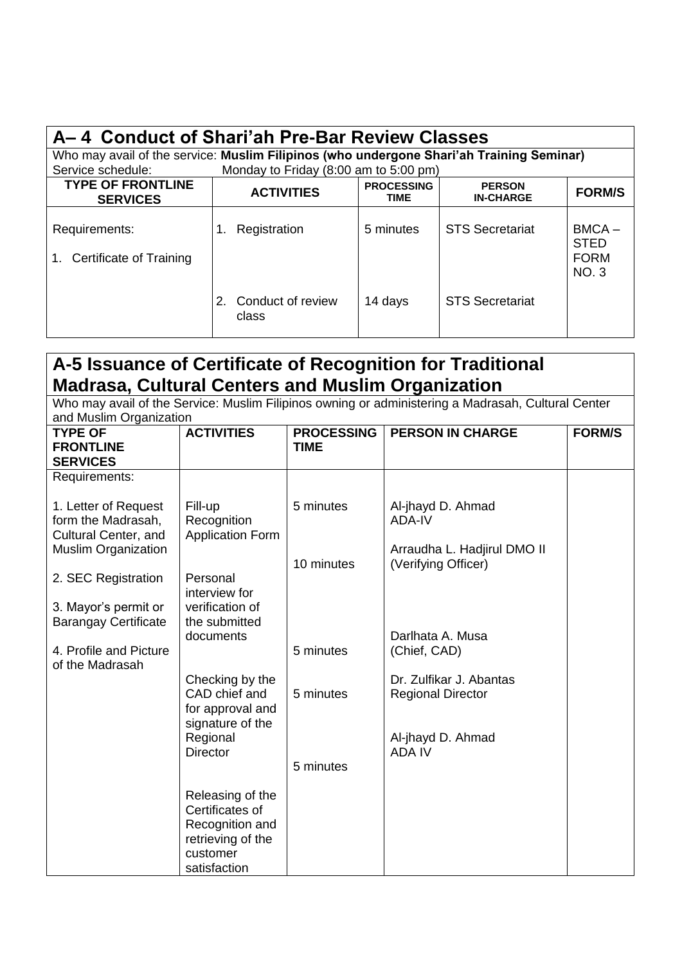| A-4 Conduct of Shari'ah Pre-Bar Review Classes                                           |                                                                                                      |           |                        |                                                       |  |  |  |
|------------------------------------------------------------------------------------------|------------------------------------------------------------------------------------------------------|-----------|------------------------|-------------------------------------------------------|--|--|--|
| Who may avail of the service: Muslim Filipinos (who undergone Shari'ah Training Seminar) |                                                                                                      |           |                        |                                                       |  |  |  |
| Service schedule:                                                                        | Monday to Friday (8:00 am to 5:00 pm)                                                                |           |                        |                                                       |  |  |  |
| <b>TYPE OF FRONTLINE</b><br><b>SERVICES</b>                                              | <b>PROCESSING</b><br><b>PERSON</b><br><b>ACTIVITIES</b><br><b>FORM/S</b><br><b>IN-CHARGE</b><br>TIME |           |                        |                                                       |  |  |  |
| Requirements:<br>Certificate of Training<br>$1_{-}$                                      | Registration<br>1.                                                                                   | 5 minutes | <b>STS Secretariat</b> | $BMCA -$<br><b>STED</b><br><b>FORM</b><br><b>NO.3</b> |  |  |  |
|                                                                                          | 2. Conduct of review<br>class                                                                        | 14 days   | <b>STS Secretariat</b> |                                                       |  |  |  |

### **A-5 Issuance of Certificate of Recognition for Traditional Madrasa, Cultural Centers and Muslim Organization**

Who may avail of the Service: Muslim Filipinos owning or administering a Madrasah, Cultural Center and Muslim Organization

| <b>TYPE OF</b><br><b>FRONTLINE</b><br><b>SERVICES</b>              | <b>ACTIVITIES</b>                                                                                       | <b>PROCESSING</b><br><b>TIME</b> | <b>PERSON IN CHARGE</b>                             | <b>FORM/S</b> |
|--------------------------------------------------------------------|---------------------------------------------------------------------------------------------------------|----------------------------------|-----------------------------------------------------|---------------|
| Requirements:                                                      |                                                                                                         |                                  |                                                     |               |
| 1. Letter of Request<br>form the Madrasah,<br>Cultural Center, and | Fill-up<br>Recognition<br><b>Application Form</b>                                                       | 5 minutes                        | Al-jhayd D. Ahmad<br>ADA-IV                         |               |
| <b>Muslim Organization</b>                                         |                                                                                                         | 10 minutes                       | Arraudha L. Hadjirul DMO II<br>(Verifying Officer)  |               |
| 2. SEC Registration                                                | Personal<br>interview for                                                                               |                                  |                                                     |               |
| 3. Mayor's permit or<br><b>Barangay Certificate</b>                | verification of<br>the submitted                                                                        |                                  |                                                     |               |
| 4. Profile and Picture                                             | documents                                                                                               | 5 minutes                        | Darlhata A. Musa<br>(Chief, CAD)                    |               |
| of the Madrasah                                                    | Checking by the<br>CAD chief and                                                                        | 5 minutes                        | Dr. Zulfikar J. Abantas<br><b>Regional Director</b> |               |
|                                                                    | for approval and<br>signature of the                                                                    |                                  |                                                     |               |
|                                                                    | Regional<br><b>Director</b>                                                                             |                                  | Al-jhayd D. Ahmad<br><b>ADA IV</b>                  |               |
|                                                                    |                                                                                                         | 5 minutes                        |                                                     |               |
|                                                                    | Releasing of the<br>Certificates of<br>Recognition and<br>retrieving of the<br>customer<br>satisfaction |                                  |                                                     |               |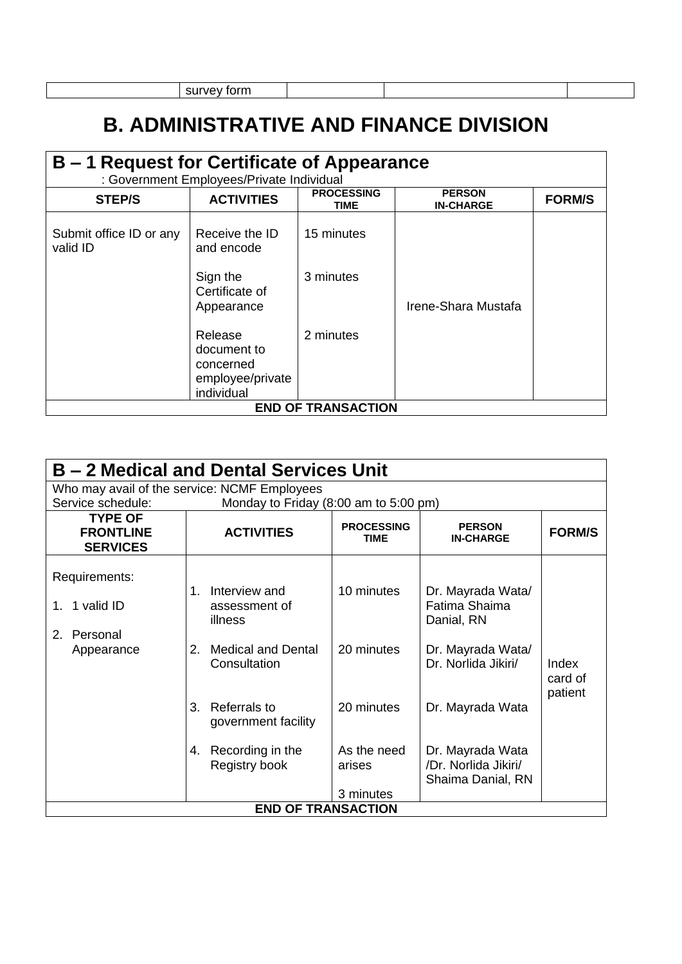survey form

# **B. ADMINISTRATIVE AND FINANCE DIVISION**

#### **B – 1 Request for Certificate of Appearance**

: Government Employees/Private Individual

| . Ouverninent Linployees/Fireate individual |                                                                       |                           |                                   |               |  |  |
|---------------------------------------------|-----------------------------------------------------------------------|---------------------------|-----------------------------------|---------------|--|--|
| <b>STEP/S</b>                               | <b>ACTIVITIES</b>                                                     | <b>PROCESSING</b><br>TIME | <b>PERSON</b><br><b>IN-CHARGE</b> | <b>FORM/S</b> |  |  |
| Submit office ID or any<br>valid ID         | Receive the ID<br>and encode                                          | 15 minutes                |                                   |               |  |  |
|                                             | Sign the<br>Certificate of<br>Appearance                              | 3 minutes                 | Irene-Shara Mustafa               |               |  |  |
|                                             | Release<br>document to<br>concerned<br>employee/private<br>individual | 2 minutes                 |                                   |               |  |  |
|                                             |                                                                       | <b>END OF TRANSACTION</b> |                                   |               |  |  |

| B – 2 Medical and Dental Services Unit                            |                                                                                                                                                      |                                        |                                                                                                                  |                             |  |  |  |  |
|-------------------------------------------------------------------|------------------------------------------------------------------------------------------------------------------------------------------------------|----------------------------------------|------------------------------------------------------------------------------------------------------------------|-----------------------------|--|--|--|--|
|                                                                   | Who may avail of the service: NCMF Employees                                                                                                         |                                        |                                                                                                                  |                             |  |  |  |  |
| Service schedule:                                                 | Monday to Friday (8:00 am to 5:00 pm)                                                                                                                |                                        |                                                                                                                  |                             |  |  |  |  |
| <b>TYPE OF</b><br><b>FRONTLINE</b><br><b>SERVICES</b>             | <b>ACTIVITIES</b>                                                                                                                                    | <b>PROCESSING</b><br><b>TIME</b>       | <b>PERSON</b><br><b>IN-CHARGE</b>                                                                                | <b>FORM/S</b>               |  |  |  |  |
| Requirements:<br>1 valid ID<br>1.<br>2.<br>Personal<br>Appearance | Interview and<br>$1_{-}$<br>assessment of<br>illness<br><b>Medical and Dental</b><br>2.<br>Consultation<br>Referrals to<br>3.<br>government facility | 10 minutes<br>20 minutes<br>20 minutes | Dr. Mayrada Wata/<br>Fatima Shaima<br>Danial, RN<br>Dr. Mayrada Wata/<br>Dr. Norlida Jikiri/<br>Dr. Mayrada Wata | Index<br>card of<br>patient |  |  |  |  |
|                                                                   | Recording in the<br>4.<br>Registry book                                                                                                              | As the need<br>arises<br>3 minutes     | Dr. Mayrada Wata<br>/Dr. Norlida Jikiri/<br>Shaima Danial, RN                                                    |                             |  |  |  |  |
|                                                                   | <b>END OF TRANSACTION</b>                                                                                                                            |                                        |                                                                                                                  |                             |  |  |  |  |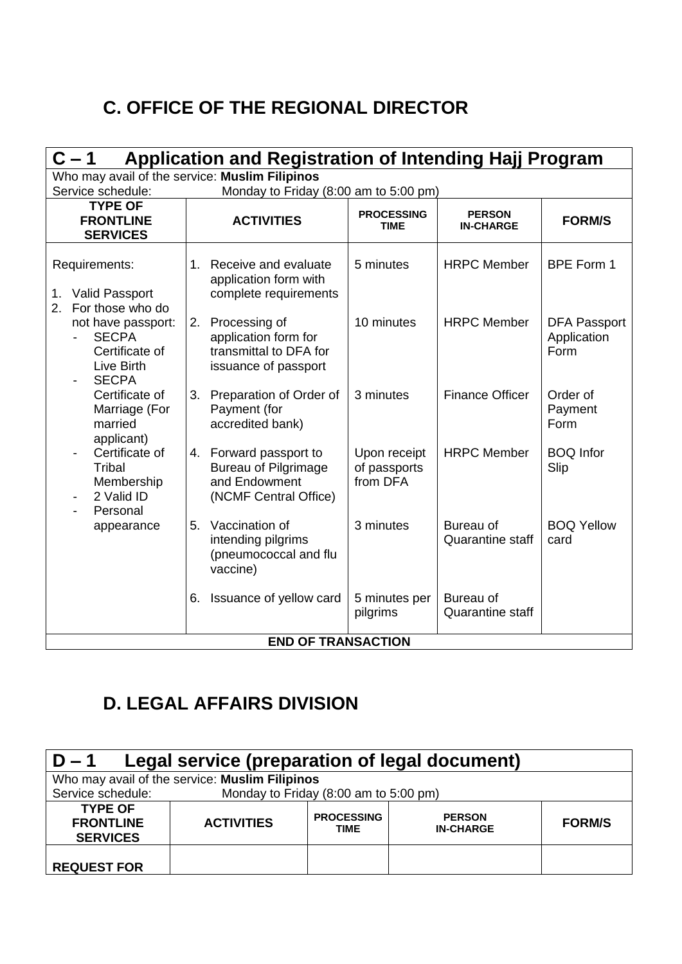### **C. OFFICE OF THE REGIONAL DIRECTOR**

| <b>Application and Registration of Intending Hajj Program</b><br>$C - 1$           |                                                                                                 |                                          |                                      |                                            |  |  |  |  |
|------------------------------------------------------------------------------------|-------------------------------------------------------------------------------------------------|------------------------------------------|--------------------------------------|--------------------------------------------|--|--|--|--|
| Service schedule:                                                                  | Who may avail of the service: Muslim Filipinos<br>Monday to Friday (8:00 am to 5:00 pm)         |                                          |                                      |                                            |  |  |  |  |
| <b>TYPE OF</b><br><b>FRONTLINE</b><br><b>SERVICES</b>                              | <b>ACTIVITIES</b>                                                                               | <b>PROCESSING</b><br>TIME                | <b>PERSON</b><br><b>IN-CHARGE</b>    | <b>FORM/S</b>                              |  |  |  |  |
| Requirements:<br><b>Valid Passport</b><br>1.<br>For those who do<br>2.             | 1. Receive and evaluate<br>application form with<br>complete requirements                       | 5 minutes                                | <b>HRPC Member</b>                   | BPE Form 1                                 |  |  |  |  |
| not have passport:<br><b>SECPA</b><br>Certificate of<br>Live Birth<br><b>SECPA</b> | 2. Processing of<br>application form for<br>transmittal to DFA for<br>issuance of passport      | 10 minutes                               | <b>HRPC Member</b>                   | <b>DFA Passport</b><br>Application<br>Form |  |  |  |  |
| Certificate of<br>Marriage (For<br>married<br>applicant)                           | 3. Preparation of Order of<br>Payment (for<br>accredited bank)                                  | 3 minutes                                | <b>Finance Officer</b>               | Order of<br>Payment<br>Form                |  |  |  |  |
| Certificate of<br>Tribal<br>Membership<br>2 Valid ID<br>Personal                   | 4. Forward passport to<br><b>Bureau of Pilgrimage</b><br>and Endowment<br>(NCMF Central Office) | Upon receipt<br>of passports<br>from DFA | <b>HRPC Member</b>                   | <b>BOQ Infor</b><br>Slip                   |  |  |  |  |
| appearance                                                                         | Vaccination of<br>5.<br>intending pilgrims<br>(pneumococcal and flu<br>vaccine)                 | 3 minutes                                | Bureau of<br><b>Quarantine staff</b> | <b>BOQ Yellow</b><br>card                  |  |  |  |  |
|                                                                                    | Issuance of yellow card<br>6.                                                                   | 5 minutes per<br>pilgrims                | Bureau of<br><b>Quarantine staff</b> |                                            |  |  |  |  |
|                                                                                    | <b>END OF TRANSACTION</b>                                                                       |                                          |                                      |                                            |  |  |  |  |

# **D. LEGAL AFFAIRS DIVISION**

| Legal service (preparation of legal document)<br>$D - 1$ |                                                |                                  |                                   |               |
|----------------------------------------------------------|------------------------------------------------|----------------------------------|-----------------------------------|---------------|
|                                                          | Who may avail of the service: Muslim Filipinos |                                  |                                   |               |
| Service schedule:                                        | Monday to Friday (8:00 am to 5:00 pm)          |                                  |                                   |               |
| <b>TYPE OF</b><br><b>FRONTLINE</b><br><b>SERVICES</b>    | <b>ACTIVITIES</b>                              | <b>PROCESSING</b><br><b>TIME</b> | <b>PERSON</b><br><b>IN-CHARGE</b> | <b>FORM/S</b> |
| <b>REQUEST FOR</b>                                       |                                                |                                  |                                   |               |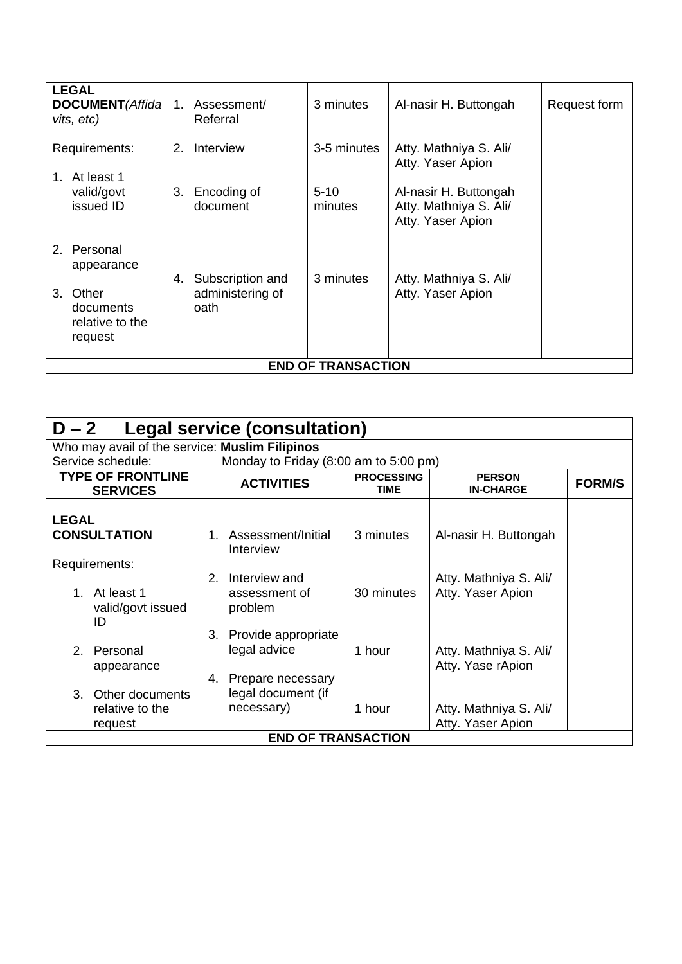| <b>LEGAL</b><br><b>DOCUMENT</b> (Affida<br>vits, etc)  | $1_{-}$ | Assessment/<br>Referral  | 3 minutes                 | Al-nasir H. Buttongah                                                | Request form |
|--------------------------------------------------------|---------|--------------------------|---------------------------|----------------------------------------------------------------------|--------------|
| Requirements:<br>1. At least 1                         | 2.      | Interview                | 3-5 minutes               | Atty. Mathniya S. Ali/<br>Atty. Yaser Apion                          |              |
| valid/govt<br>issued ID                                | 3.      | Encoding of<br>document  | $5 - 10$<br>minutes       | Al-nasir H. Buttongah<br>Atty. Mathniya S. Ali/<br>Atty. Yaser Apion |              |
| 2. Personal<br>appearance                              | 4.      | Subscription and         | 3 minutes                 | Atty. Mathniya S. Ali/                                               |              |
| Other<br>3.<br>documents<br>relative to the<br>request |         | administering of<br>oath |                           | Atty. Yaser Apion                                                    |              |
|                                                        |         |                          | <b>END OF TRANSACTION</b> |                                                                      |              |

| $D-2$<br>Legal service (consultation)          |                                       |                                  |                                             |               |  |  |
|------------------------------------------------|---------------------------------------|----------------------------------|---------------------------------------------|---------------|--|--|
|                                                |                                       |                                  |                                             |               |  |  |
| Who may avail of the service: Muslim Filipinos |                                       |                                  |                                             |               |  |  |
| Service schedule:                              | Monday to Friday (8:00 am to 5:00 pm) |                                  |                                             |               |  |  |
| <b>TYPE OF FRONTLINE</b><br><b>SERVICES</b>    | <b>ACTIVITIES</b>                     | <b>PROCESSING</b><br><b>TIME</b> | <b>PERSON</b><br><b>IN-CHARGE</b>           | <b>FORM/S</b> |  |  |
| <b>LEGAL</b>                                   |                                       |                                  |                                             |               |  |  |
| <b>CONSULTATION</b>                            | 1. Assessment/Initial<br>Interview    | 3 minutes                        | Al-nasir H. Buttongah                       |               |  |  |
| Requirements:                                  |                                       |                                  |                                             |               |  |  |
| At least 1<br>$1 \quad$                        | Interview and<br>2.<br>assessment of  | 30 minutes                       | Atty. Mathniya S. Ali/<br>Atty. Yaser Apion |               |  |  |
| valid/govt issued<br>ID                        | problem                               |                                  |                                             |               |  |  |
|                                                | Provide appropriate<br>3.             |                                  |                                             |               |  |  |
| 2 <sub>1</sub><br>Personal                     | legal advice                          | 1 hour                           | Atty. Mathniya S. Ali/                      |               |  |  |
| appearance                                     |                                       |                                  | Atty. Yase rApion                           |               |  |  |
|                                                | Prepare necessary<br>4.               |                                  |                                             |               |  |  |
| Other documents<br>$\mathcal{S}_{\mathcal{C}}$ | legal document (if                    |                                  |                                             |               |  |  |
| relative to the                                | necessary)                            | 1 hour                           | Atty. Mathniya S. Ali/                      |               |  |  |
| request                                        |                                       |                                  | Atty. Yaser Apion                           |               |  |  |
|                                                | <b>END OF TRANSACTION</b>             |                                  |                                             |               |  |  |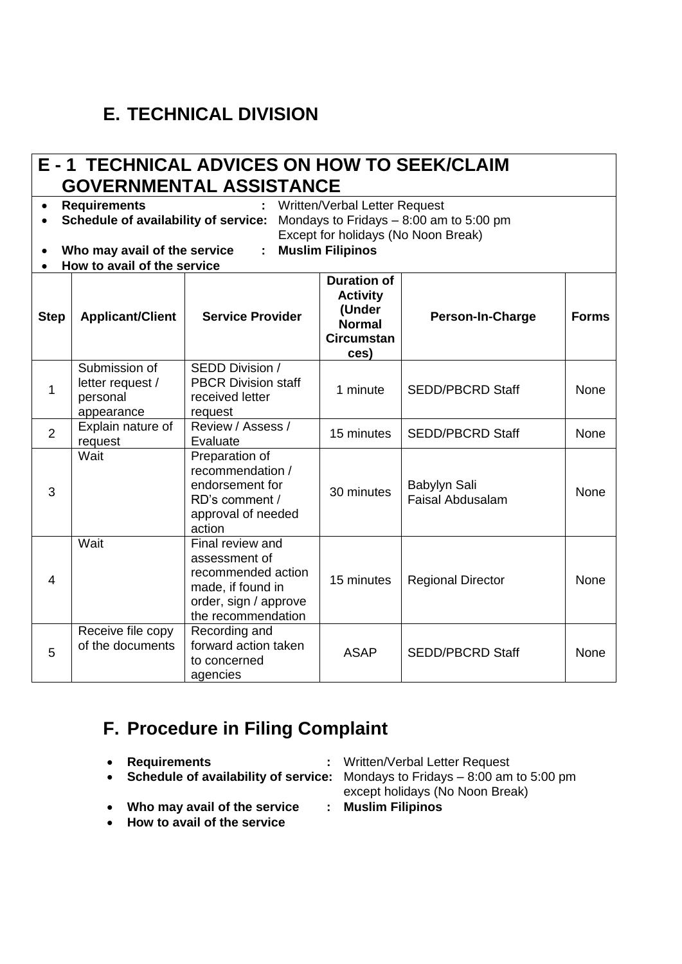## **E. TECHNICAL DIVISION**

#### **E - 1 TECHNICAL ADVICES ON HOW TO SEEK/CLAIM GOVERNMENTAL ASSISTANCE**

• **Requirements :** Written/Verbal Letter Request

• **Schedule of availability of service:** Mondays to Fridays – 8:00 am to 5:00 pm

Except for holidays (No Noon Break)

- **Who may avail of the service : Muslim Filipinos**
	-
- **How to avail of the service**

| <b>Step</b>    | <b>Applicant/Client</b>                                     | <b>Service Provider</b>                                                                                                     | <b>Duration of</b><br><b>Activity</b><br>(Under<br><b>Normal</b><br><b>Circumstan</b><br>ces) | Person-In-Charge                        | <b>Forms</b> |
|----------------|-------------------------------------------------------------|-----------------------------------------------------------------------------------------------------------------------------|-----------------------------------------------------------------------------------------------|-----------------------------------------|--------------|
|                | Submission of<br>letter request /<br>personal<br>appearance | SEDD Division /<br><b>PBCR Division staff</b><br>received letter<br>request                                                 | 1 minute                                                                                      | <b>SEDD/PBCRD Staff</b>                 | None         |
| $\overline{2}$ | Explain nature of<br>request                                | Review / Assess /<br>Evaluate                                                                                               | 15 minutes                                                                                    | <b>SEDD/PBCRD Staff</b>                 | None         |
| 3              | Wait                                                        | Preparation of<br>recommendation /<br>endorsement for<br>RD's comment /<br>approval of needed<br>action                     | 30 minutes                                                                                    | Babylyn Sali<br><b>Faisal Abdusalam</b> | None         |
| 4              | Wait                                                        | Final review and<br>assessment of<br>recommended action<br>made, if found in<br>order, sign / approve<br>the recommendation | 15 minutes                                                                                    | <b>Regional Director</b>                | None         |
| 5              | Receive file copy<br>of the documents                       | Recording and<br>forward action taken<br>to concerned<br>agencies                                                           | <b>ASAP</b>                                                                                   | <b>SEDD/PBCRD Staff</b>                 | None         |

### **F. Procedure in Filing Complaint**

- 
- **Schedule of availability of service:** Mondays to Fridays 8:00 am to 5:00 pm
- **Who may avail of the service : Muslim Filipinos**
- **How to avail of the service**
- **Requirements :** Written/Verbal Letter Request
	- except holidays (No Noon Break)
	-